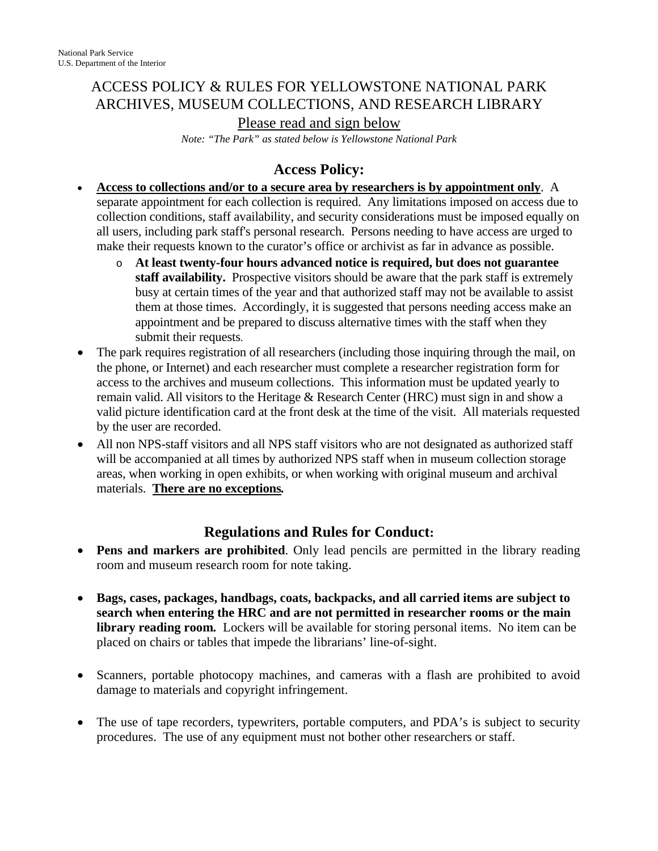# ACCESS POLICY & RULES FOR YELLOWSTONE NATIONAL PARK ARCHIVES, MUSEUM COLLECTIONS, AND RESEARCH LIBRARY

Please read and sign below

*Note: "The Park" as stated below is Yellowstone National Park* 

## **Access Policy:**

- **Access to collections and/or to a secure area by researchers is by appointment only**. A separate appointment for each collection is required. Any limitations imposed on access due to collection conditions, staff availability, and security considerations must be imposed equally on all users, including park staff's personal research. Persons needing to have access are urged to make their requests known to the curator's office or archivist as far in advance as possible.
	- o **At least twenty-four hours advanced notice is required, but does not guarantee staff availability.** Prospective visitors should be aware that the park staff is extremely busy at certain times of the year and that authorized staff may not be available to assist them at those times. Accordingly, it is suggested that persons needing access make an appointment and be prepared to discuss alternative times with the staff when they submit their requests.
- The park requires registration of all researchers (including those inquiring through the mail, on the phone, or Internet) and each researcher must complete a researcher registration form for access to the archives and museum collections. This information must be updated yearly to remain valid. All visitors to the Heritage & Research Center (HRC) must sign in and show a valid picture identification card at the front desk at the time of the visit. All materials requested by the user are recorded.
- All non NPS-staff visitors and all NPS staff visitors who are not designated as authorized staff will be accompanied at all times by authorized NPS staff when in museum collection storage areas, when working in open exhibits, or when working with original museum and archival materials. **There are no exceptions***.*

### **Regulations and Rules for Conduct:**

- **Pens and markers are prohibited**. Only lead pencils are permitted in the library reading room and museum research room for note taking.
- **Bags, cases, packages, handbags, coats, backpacks, and all carried items are subject to search when entering the HRC and are not permitted in researcher rooms or the main library reading room***.* Lockers will be available for storing personal items. No item can be placed on chairs or tables that impede the librarians' line-of-sight.
- Scanners, portable photocopy machines, and cameras with a flash are prohibited to avoid damage to materials and copyright infringement.
- The use of tape recorders, typewriters, portable computers, and PDA's is subject to security procedures. The use of any equipment must not bother other researchers or staff.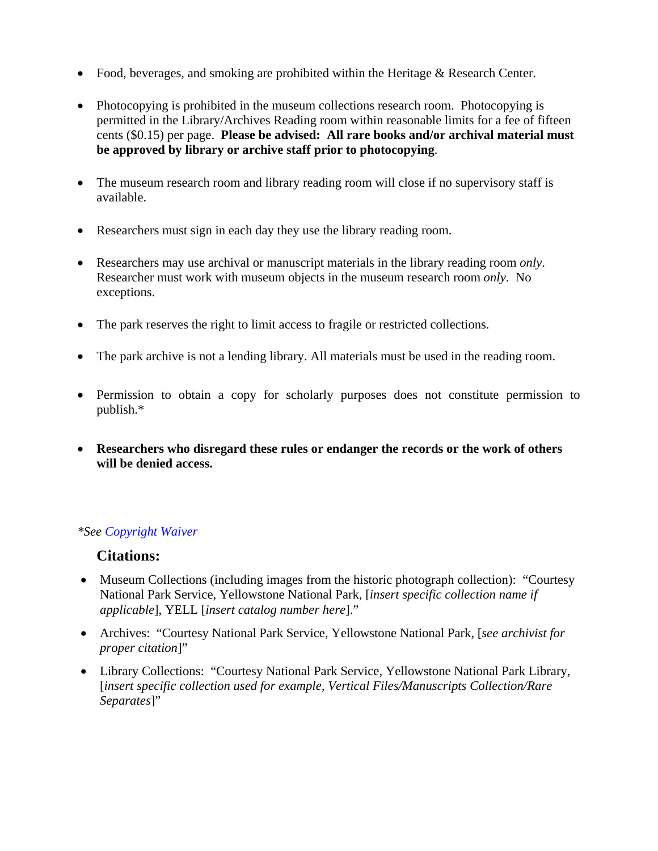- Food, beverages, and smoking are prohibited within the Heritage & Research Center.
- Photocopying is prohibited in the museum collections research room. Photocopying is permitted in the Library/Archives Reading room within reasonable limits for a fee of fifteen cents (\$0.15) per page. **Please be advised: All rare books and/or archival material must be approved by library or archive staff prior to photocopying**.
- The museum research room and library reading room will close if no supervisory staff is available.
- Researchers must sign in each day they use the library reading room.
- Researchers may use archival or manuscript materials in the library reading room *only*. Researcher must work with museum objects in the museum research room *only*. No exceptions.
- The park reserves the right to limit access to fragile or restricted collections.
- The park archive is not a lending library. All materials must be used in the reading room.
- Permission to obtain a copy for scholarly purposes does not constitute permission to publish.\*
- **Researchers who disregard these rules or endanger the records or the work of others will be denied access.**

#### *\*See Copyright Waiver*

#### **Citations:**

- Museum Collections (including images from the historic photograph collection): "Courtesy" National Park Service, Yellowstone National Park, [*insert specific collection name if applicable*], YELL [*insert catalog number here*]."
- Archives: "Courtesy National Park Service, Yellowstone National Park, [*see archivist for proper citation*]"
- Library Collections: "Courtesy National Park Service, Yellowstone National Park Library, [*insert specific collection used for example, Vertical Files/Manuscripts Collection/Rare Separates*]"